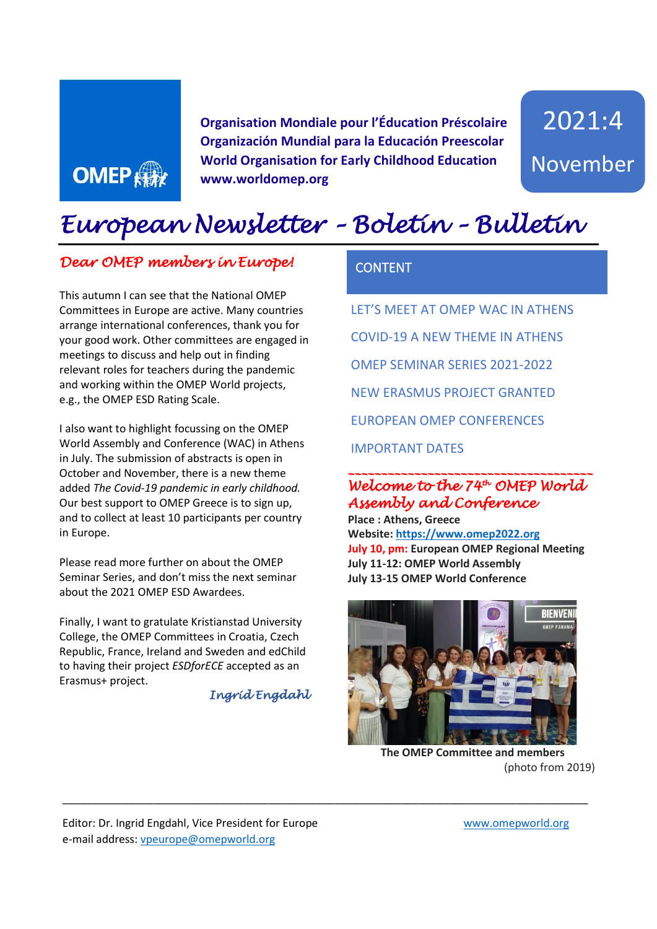

**Organisation Mondiale pour l'Éducation Préscolaire Organización Mundial para la Educación Preescolar World Organisation for Early Childhood Education www.worldomep.org**

2021:4 November

# *European Newsletter – Boletín – Bulletin*

#### *Dear OMEP members in Europe!*

This autumn I can see that the National OMEP Committees in Europe are active. Many countries arrange international conferences, thank you for your good work. Other committees are engaged in meetings to discuss and help out in finding relevant roles for teachers during the pandemic and working within the OMEP World projects, e.g., the OMEP ESD Rating Scale.

I also want to highlight focussing on the OMEP World Assembly and Conference (WAC) in Athens in July. The submission of abstracts is open in October and November, there is a new theme added *The Covid-19 pandemic in early childhood.* Our best support to OMEP Greece is to sign up, and to collect at least 10 participants per country in Europe.

Please read more further on about the OMEP Seminar Series, and don't miss the next seminar about the 2021 OMEP ESD Awardees.

Finally, I want to gratulate Kristianstad University College, the OMEP Committees in Croatia, Czech Republic, France, Ireland and Sweden and edChild to having their project *ESDforECE* accepted as an Erasmus+ project.

*Ingrid Engdahl* 

\_\_\_\_\_\_\_\_\_\_\_\_\_\_\_\_\_\_\_\_\_\_\_\_\_\_\_\_\_\_\_\_\_\_\_\_\_\_\_\_\_\_\_\_\_\_\_\_\_\_\_\_\_\_\_\_\_\_\_\_\_\_\_\_\_\_\_\_\_\_\_\_\_\_\_\_\_\_\_\_\_\_\_\_\_\_\_

#### **CONTENT**

LET'S MEET AT OMEP WAC IN ATHENS COVID-19 A NEW THEME IN ATHENS OMEP SEMINAR SERIES 2021-2022 NEW ERASMUS PROJECT GRANTED EUROPEAN OMEP CONFERENCES IMPORTANT DATES

#### *\_\_\_\_\_\_\_\_\_\_\_\_\_\_\_\_\_\_\_\_\_\_\_\_\_\_\_\_\_\_\_\_\_\_\_\_\_ Welcome to the 74th OMEP World Assembly and Conference*

**Place : Athens, Greece Website[: https://www.omep2022.org](https://www.omep2022.org/) July 10, pm: European OMEP Regional Meeting July 11-12: OMEP World Assembly July 13-15 OMEP World Conference**



**The OMEP Committee and members** (photo from 2019)

Editor: Dr. Ingrid Engdahl, Vice President for Europe www.omepworld.org e-mail address: [vpeurope@omepworld.org](mailto:vpeurope@omepworld.org)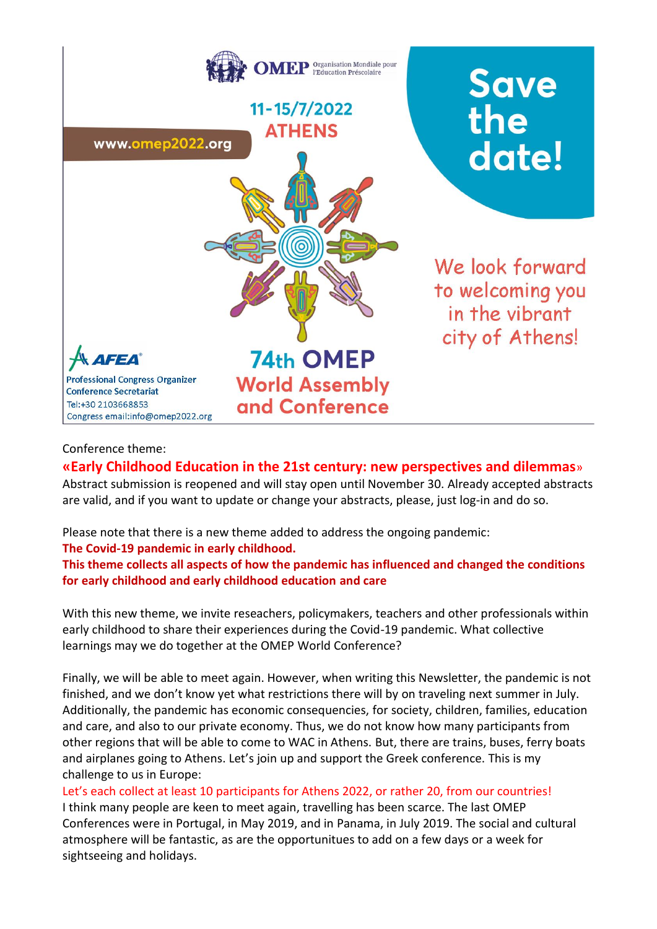

#### Conference theme:

#### **«Early Childhood Education in the 21st century: new perspectives and dilemmas**»

Abstract submission is reopened and will stay open until November 30. Already accepted abstracts are valid, and if you want to update or change your abstracts, please, just log-in and do so.

Please note that there is a new theme added to address the ongoing pandemic:

#### **The Covid-19 pandemic in early childhood.**

**This theme collects all aspects of how the pandemic has influenced and changed the conditions for early childhood and early childhood education and care**

With this new theme, we invite reseachers, policymakers, teachers and other professionals within early childhood to share their experiences during the Covid-19 pandemic. What collective learnings may we do together at the OMEP World Conference?

Finally, we will be able to meet again. However, when writing this Newsletter, the pandemic is not finished, and we don't know yet what restrictions there will by on traveling next summer in July. Additionally, the pandemic has economic consequencies, for society, children, families, education and care, and also to our private economy. Thus, we do not know how many participants from other regions that will be able to come to WAC in Athens. But, there are trains, buses, ferry boats and airplanes going to Athens. Let's join up and support the Greek conference. This is my challenge to us in Europe:

Let's each collect at least 10 participants for Athens 2022, or rather 20, from our countries!

I think many people are keen to meet again, travelling has been scarce. The last OMEP Conferences were in Portugal, in May 2019, and in Panama, in July 2019. The social and cultural atmosphere will be fantastic, as are the opportunitues to add on a few days or a week for sightseeing and holidays.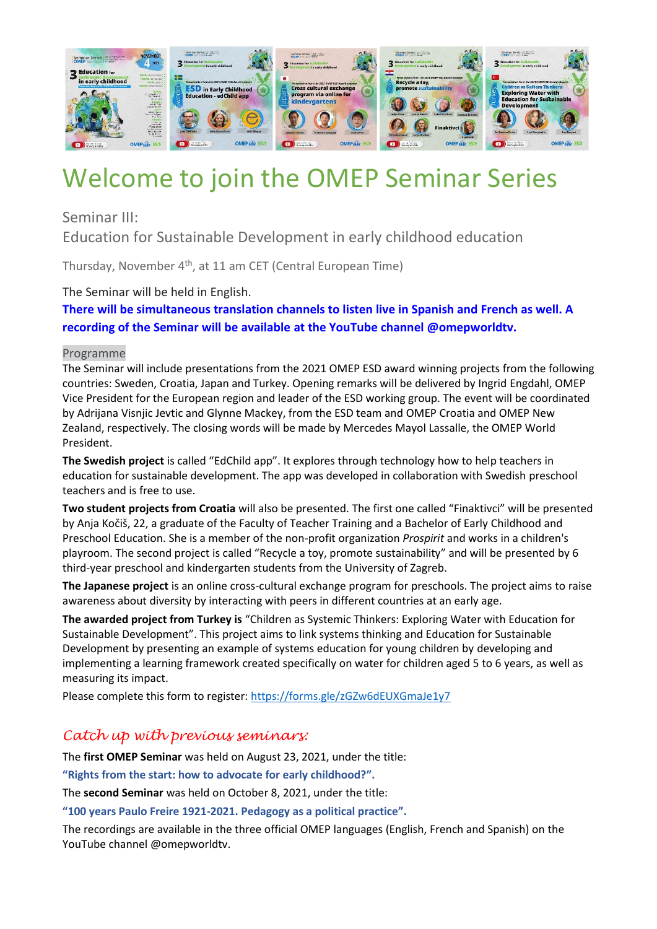

# Welcome to join the OMEP Seminar Series

Seminar III:

Education for Sustainable Development in early childhood education

Thursday, November 4<sup>th</sup>, at 11 am CET (Central European Time)

The Seminar will be held in English.

**There will be simultaneous translation channels to listen live in Spanish and French as well. A recording of the Seminar will be available at the YouTube channel @omepworldtv.**

#### Programme

The Seminar will include presentations from the 2021 OMEP ESD award winning projects from the following countries: Sweden, Croatia, Japan and Turkey. Opening remarks will be delivered by Ingrid Engdahl, OMEP Vice President for the European region and leader of the ESD working group. The event will be coordinated by Adrijana Visnjic Jevtic and Glynne Mackey, from the ESD team and OMEP Croatia and OMEP New Zealand, respectively. The closing words will be made by Mercedes Mayol Lassalle, the OMEP World President.

**The Swedish project** is called "EdChild app". It explores through technology how to help teachers in education for sustainable development. The app was developed in collaboration with Swedish preschool teachers and is free to use.

**Two student projects from Croatia** will also be presented. The first one called "Finaktivci" will be presented by Anja Kočiš, 22, a graduate of the Faculty of Teacher Training and a Bachelor of Early Childhood and Preschool Education. She is a member of the non-profit organization *Prospirit* and works in a children's playroom. The second project is called "Recycle a toy, promote sustainability" and will be presented by 6 third-year preschool and kindergarten students from the University of Zagreb.

**The Japanese project** is an online cross-cultural exchange program for preschools. The project aims to raise awareness about diversity by interacting with peers in different countries at an early age.

**The awarded project from Turkey is** "Children as Systemic Thinkers: Exploring Water with Education for Sustainable Development". This project aims to link systems thinking and Education for Sustainable Development by presenting an example of systems education for young children by developing and implementing a learning framework created specifically on water for children aged 5 to 6 years, as well as measuring its impact.

Please complete this form to register: <https://forms.gle/zGZw6dEUXGmaJe1y7>

#### *Catch up with previous seminars:*

The **first OMEP Seminar** was held on August 23, 2021, under the title:

**"Rights from the start: how to advocate for early childhood?".**

The **second Seminar** was held on October 8, 2021, under the title:

**"100 years Paulo Freire 1921-2021. Pedagogy as a political practice".**

The recordings are available in the three official OMEP languages (English, French and Spanish) on the YouTube channel @omepworldtv.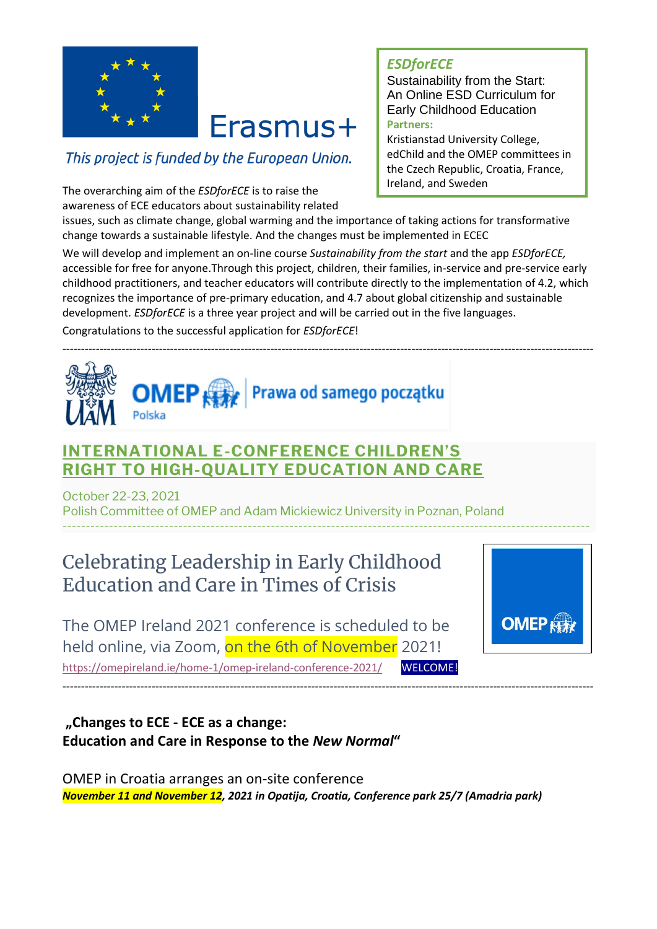

# Erasmus+

## This project is funded by the European Union.

The overarching aim of the *ESDforECE* is to raise the awareness of ECE educators about sustainability related

### *ESDforECE*

Sustainability from the Start: An Online ESD Curriculum for Early Childhood Education **Partners:** 

Kristianstad University College, edChild and the OMEP committees in the Czech Republic, Croatia, France, Ireland, and Sweden

issues, such as climate change, global warming and the importance of taking actions for transformative change towards a sustainable lifestyle. And the changes must be implemented in ECEC

We will develop and implement an on-line course *Sustainability from the start* and the app *ESDforECE,*  accessible for free for anyone.Through this project, children, their families, in-service and pre-service early childhood practitioners, and teacher educators will contribute directly to the implementation of 4.2, which recognizes the importance of pre-primary education, and 4.7 about global citizenship and sustainable development. *ESDforECE* is a three year project and will be carried out in the five languages.

Congratulations to the successful application for *ESDforECE*!



## **INTERNATIONAL E-[CONFERENCE CHILDREN'S](https://prawadziecka.amu.edu.pl/)  [RIGHT TO HIGH-QUALITY EDUCATION AND CARE](https://prawadziecka.amu.edu.pl/)**

October 22-23, 2021 Polish Committee of OMEP and Adam Mickiewicz University in Poznan, Poland ------------------------------------------------------------------------------------------------------------------

# Celebrating Leadership in Early Childhood Education and Care in Times of Crisis

The OMEP Ireland 2021 conference is scheduled to be held online, via Zoom, on the 6th of November 2021! <https://omepireland.ie/home-1/omep-ireland-conference-2021/> WELCOME!



**"Changes to ECE - ECE as a change: Education and Care in Response to the** *New Normal***"**

OMEP in Croatia arranges an on-site conference *November 11 and November 12, 2021 in Opatija, Croatia, Conference park 25/7 (Amadria park)*

-----------------------------------------------------------------------------------------------------------------------------------------------